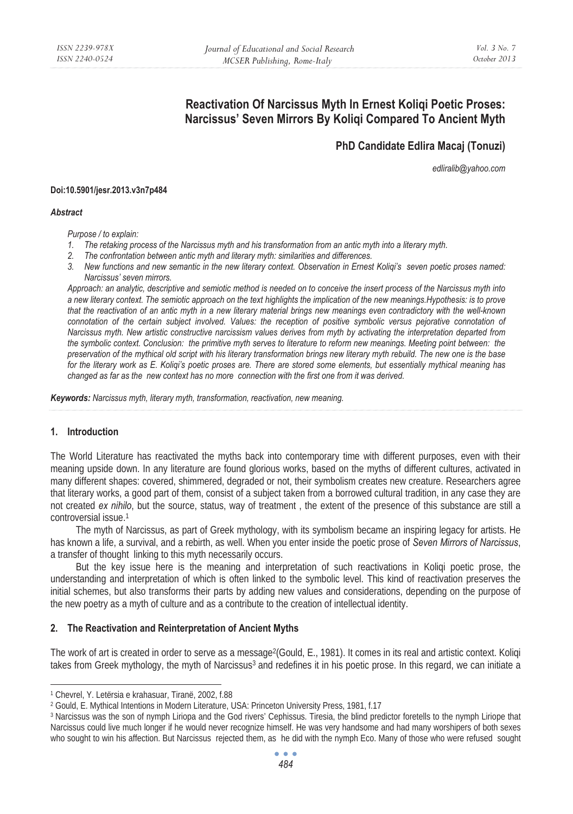# **Reactivation Of Narcissus Myth In Ernest Koliqi Poetic Proses: Narcissus' Seven Mirrors By Koliqi Compared To Ancient Myth**

# **PhD Candidate Edlira Macaj (Tonuzi)**

*edliralib@yahoo.com* 

#### **Doi:10.5901/jesr.2013.v3n7p484**

#### *Abstract*

*Purpose / to explain:* 

- *1. The retaking process of the Narcissus myth and his transformation from an antic myth into a literary myth.*
- *2. The confrontation between antic myth and literary myth: similarities and differences.*
- *3. New functions and new semantic in the new literary context. Observation in Ernest Koliqi's seven poetic proses named: Narcissus' seven mirrors.*

*Approach: an analytic, descriptive and semiotic method is needed on to conceive the insert process of the Narcissus myth into a new literary context. The semiotic approach on the text highlights the implication of the new meanings.Hypothesis: is to prove that the reactivation of an antic myth in a new literary material brings new meanings even contradictory with the well-known*  connotation of the certain subject involved. Values: the reception of positive symbolic versus pejorative connotation of *Narcissus myth. New artistic constructive narcissism values derives from myth by activating the interpretation departed from the symbolic context. Conclusion: the primitive myth serves to literature to reform new meanings. Meeting point between: the preservation of the mythical old script with his literary transformation brings new literary myth rebuild. The new one is the base for the literary work as E. Koliqi's poetic proses are. There are stored some elements, but essentially mythical meaning has changed as far as the new context has no more connection with the first one from it was derived.* 

*Keywords: Narcissus myth, literary myth, transformation, reactivation, new meaning.* 

### **1. Introduction**

The World Literature has reactivated the myths back into contemporary time with different purposes, even with their meaning upside down. In any literature are found glorious works, based on the myths of different cultures, activated in many different shapes: covered, shimmered, degraded or not, their symbolism creates new creature. Researchers agree that literary works, a good part of them, consist of a subject taken from a borrowed cultural tradition, in any case they are not created *ex nihilo*, but the source, status, way of treatment , the extent of the presence of this substance are still a controversial issue.1

The myth of Narcissus, as part of Greek mythology, with its symbolism became an inspiring legacy for artists. He has known a life, a survival, and a rebirth, as well. When you enter inside the poetic prose of *Seven Mirrors of Narcissus*, a transfer of thought linking to this myth necessarily occurs.

But the key issue here is the meaning and interpretation of such reactivations in Koliqi poetic prose, the understanding and interpretation of which is often linked to the symbolic level. This kind of reactivation preserves the initial schemes, but also transforms their parts by adding new values and considerations, depending on the purpose of the new poetry as a myth of culture and as a contribute to the creation of intellectual identity.

### **2. The Reactivation and Reinterpretation of Ancient Myths**

The work of art is created in order to serve as a message<sup>2</sup>(Gould, E., 1981). It comes in its real and artistic context. Koligi takes from Greek mythology, the myth of Narcissus<sup>3</sup> and redefines it in his poetic prose. In this regard, we can initiate a

<sup>1</sup> Chevrel, Y. Letërsia e krahasuar, Tiranë, 2002, f.88<br><sup>2</sup> Gould. E. Mythical Intentions in Modern Literature. USA: Princeton University Press. 1981. f.17

<sup>&</sup>lt;sup>3</sup> Narcissus was the son of nymph Liriopa and the God rivers' Cephissus. Tiresia, the blind predictor foretells to the nymph Liriope that Narcissus could live much longer if he would never recognize himself. He was very handsome and had many worshipers of both sexes who sought to win his affection. But Narcissus rejected them, as he did with the nymph Eco. Many of those who were refused sought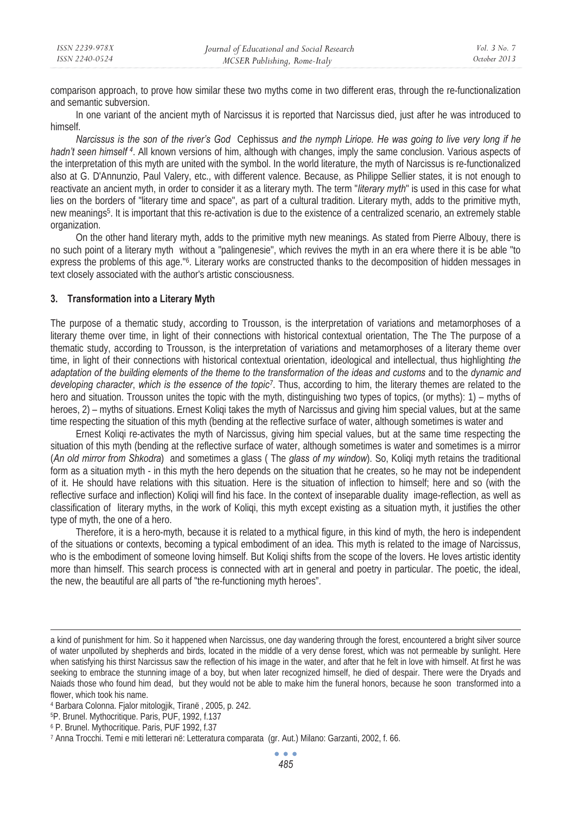| ISSN 2239-978X | Journal of Educational and Social Research | Vol. 3 No.   |  |
|----------------|--------------------------------------------|--------------|--|
| ISSN 2240-0524 | MCSER Publishing, Rome-Italy               | October 2013 |  |
|                |                                            |              |  |

comparison approach, to prove how similar these two myths come in two different eras, through the re-functionalization and semantic subversion.

In one variant of the ancient myth of Narcissus it is reported that Narcissus died, just after he was introduced to himself.

*Narcissus is the son of the river's God* Cephissus *and the nymph Liriope. He was going to live very long if he hadn't seen himself 4*. All known versions of him, although with changes, imply the same conclusion. Various aspects of the interpretation of this myth are united with the symbol. In the world literature, the myth of Narcissus is re-functionalized also at G. D'Annunzio, Paul Valery, etc., with different valence. Because, as Philippe Sellier states, it is not enough to reactivate an ancient myth, in order to consider it as a literary myth. The term "*literary myth*" is used in this case for what lies on the borders of "literary time and space", as part of a cultural tradition. Literary myth, adds to the primitive myth, new meanings5. It is important that this re-activation is due to the existence of a centralized scenario, an extremely stable organization.

On the other hand literary myth, adds to the primitive myth new meanings. As stated from Pierre Albouy, there is no such point of a literary myth without a "palingenesie", which revives the myth in an era where there it is be able "to express the problems of this age."6. Literary works are constructed thanks to the decomposition of hidden messages in text closely associated with the author's artistic consciousness.

#### **3. Transformation into a Literary Myth**

The purpose of a thematic study, according to Trousson, is the interpretation of variations and metamorphoses of a literary theme over time, in light of their connections with historical contextual orientation, The The The purpose of a thematic study, according to Trousson, is the interpretation of variations and metamorphoses of a literary theme over time, in light of their connections with historical contextual orientation, ideological and intellectual, thus highlighting *the adaptation of the building elements of the theme to the transformation of the ideas and customs* and to the *dynamic and developing character*, *which is the essence of the topic7*. Thus, according to him, the literary themes are related to the hero and situation. Trousson unites the topic with the myth, distinguishing two types of topics, (or myths): 1) – myths of heroes, 2) – myths of situations. Ernest Koliqi takes the myth of Narcissus and giving him special values, but at the same time respecting the situation of this myth (bending at the reflective surface of water, although sometimes is water and

Ernest Koliqi re-activates the myth of Narcissus, giving him special values, but at the same time respecting the situation of this myth (bending at the reflective surface of water, although sometimes is water and sometimes is a mirror (*An old mirror from Shkodra*) and sometimes a glass ( The *glass of my window*). So, Koliqi myth retains the traditional form as a situation myth - in this myth the hero depends on the situation that he creates, so he may not be independent of it. He should have relations with this situation. Here is the situation of inflection to himself; here and so (with the reflective surface and inflection) Koliqi will find his face. In the context of inseparable duality image-reflection, as well as classification of literary myths, in the work of Koliqi, this myth except existing as a situation myth, it justifies the other type of myth, the one of a hero.

Therefore, it is a hero-myth, because it is related to a mythical figure, in this kind of myth, the hero is independent of the situations or contexts, becoming a typical embodiment of an idea. This myth is related to the image of Narcissus, who is the embodiment of someone loving himself. But Koliqi shifts from the scope of the lovers. He loves artistic identity more than himself. This search process is connected with art in general and poetry in particular. The poetic, the ideal, the new, the beautiful are all parts of "the re-functioning myth heroes".

a kind of punishment for him. So it happened when Narcissus, one day wandering through the forest, encountered a bright silver source of water unpolluted by shepherds and birds, located in the middle of a very dense forest, which was not permeable by sunlight. Here when satisfying his thirst Narcissus saw the reflection of his image in the water, and after that he felt in love with himself. At first he was seeking to embrace the stunning image of a boy, but when later recognized himself, he died of despair. There were the Dryads and Naiads those who found him dead, but they would not be able to make him the funeral honors, because he soon transformed into a flower, which took his name.

<sup>4</sup> Barbara Colonna. Fjalor mitologjik, Tiranë , 2005, p. 242.

<sup>&</sup>lt;sup>5</sup>P. Brunel. Mythocritique. Paris, PUF, 1992, f.137<br><sup>6</sup> P. Brunel. Mythocritique. Paris, PUF 1992, f.37

<sup>7</sup> Anna Trocchi. Temi e miti letterari në: Letteratura comparata (gr. Aut.) Milano: Garzanti, 2002, f. 66.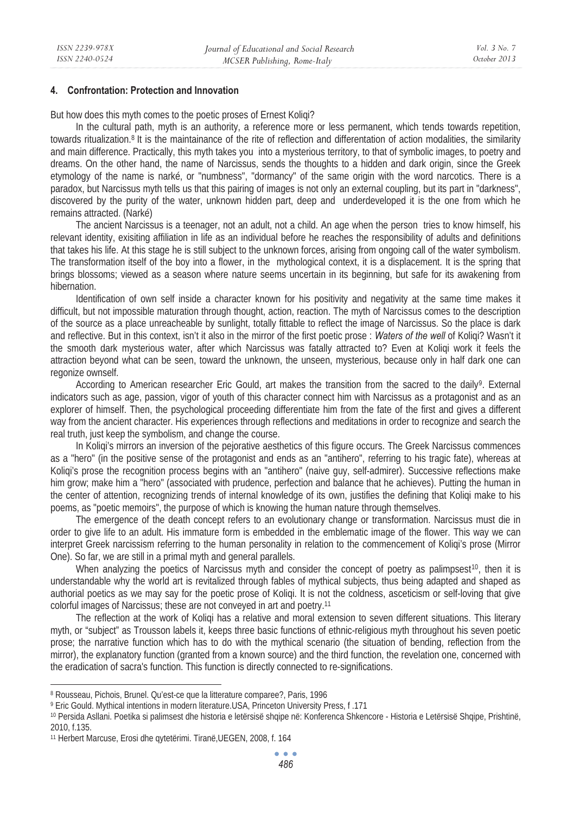#### **4. Confrontation: Protection and Innovation**

But how does this myth comes to the poetic proses of Ernest Koliqi?

In the cultural path, myth is an authority, a reference more or less permanent, which tends towards repetition, towards ritualization.<sup>8</sup> It is the maintainance of the rite of reflection and differentation of action modalities, the similarity and main difference. Practically, this myth takes you into a mysterious territory, to that of symbolic images, to poetry and dreams. On the other hand, the name of Narcissus, sends the thoughts to a hidden and dark origin, since the Greek etymology of the name is narké, or "numbness", "dormancy" of the same origin with the word narcotics. There is a paradox, but Narcissus myth tells us that this pairing of images is not only an external coupling, but its part in "darkness", discovered by the purity of the water, unknown hidden part, deep and underdeveloped it is the one from which he remains attracted. (Narké)

The ancient Narcissus is a teenager, not an adult, not a child. An age when the person tries to know himself, his relevant identity, exisiting affiliation in life as an individual before he reaches the responsibility of adults and definitions that takes his life. At this stage he is still subject to the unknown forces, arising from ongoing call of the water symbolism. The transformation itself of the boy into a flower, in the mythological context, it is a displacement. It is the spring that brings blossoms; viewed as a season where nature seems uncertain in its beginning, but safe for its awakening from hibernation.

Identification of own self inside a character known for his positivity and negativity at the same time makes it difficult, but not impossible maturation through thought, action, reaction. The myth of Narcissus comes to the description of the source as a place unreacheable by sunlight, totally fittable to reflect the image of Narcissus. So the place is dark and reflective. But in this context, isn't it also in the mirror of the first poetic prose : *Waters of the well* of Koliqi? Wasn't it the smooth dark mysterious water, after which Narcissus was fatally attracted to? Even at Koliqi work it feels the attraction beyond what can be seen, toward the unknown, the unseen, mysterious, because only in half dark one can regonize ownself.

According to American researcher Eric Gould, art makes the transition from the sacred to the daily<sup>9</sup>. External indicators such as age, passion, vigor of youth of this character connect him with Narcissus as a protagonist and as an explorer of himself. Then, the psychological proceeding differentiate him from the fate of the first and gives a different way from the ancient character. His experiences through reflections and meditations in order to recognize and search the real truth, just keep the symbolism, and change the course.

In Koliqi's mirrors an inversion of the pejorative aesthetics of this figure occurs. The Greek Narcissus commences as a "hero" (in the positive sense of the protagonist and ends as an "antihero", referring to his tragic fate), whereas at Koliqi's prose the recognition process begins with an "antihero" (naive guy, self-admirer). Successive reflections make him grow; make him a "hero" (associated with prudence, perfection and balance that he achieves). Putting the human in the center of attention, recognizing trends of internal knowledge of its own, justifies the defining that Koliqi make to his poems, as "poetic memoirs", the purpose of which is knowing the human nature through themselves.

The emergence of the death concept refers to an evolutionary change or transformation. Narcissus must die in order to give life to an adult. His immature form is embedded in the emblematic image of the flower. This way we can interpret Greek narcissism referring to the human personality in relation to the commencement of Koliqi's prose (Mirror One). So far, we are still in a primal myth and general parallels.

When analyzing the poetics of Narcissus myth and consider the concept of poetry as palimpsest<sup>10</sup>, then it is understandable why the world art is revitalized through fables of mythical subjects, thus being adapted and shaped as authorial poetics as we may say for the poetic prose of Koliqi. It is not the coldness, asceticism or self-loving that give colorful images of Narcissus; these are not conveyed in art and poetry.11

The reflection at the work of Koliqi has a relative and moral extension to seven different situations. This literary myth, or "subject" as Trousson labels it, keeps three basic functions of ethnic-religious myth throughout his seven poetic prose; the narrative function which has to do with the mythical scenario (the situation of bending, reflection from the mirror), the explanatory function (granted from a known source) and the third function, the revelation one, concerned with the eradication of sacra's function. This function is directly connected to re-significations.

<sup>8</sup> Rousseau, Pichois, Brunel. Qu'est-ce que la litterature comparee?, Paris, 1996

<sup>&</sup>lt;sup>9</sup> Eric Gould. Mythical intentions in modern literature.USA, Princeton University Press, f .171<br><sup>10</sup> Persida Asllani. Poetika si palimsest dhe historia e letërsisë shqipe në: Konferenca Shkencore - Historia e Letërsisë Sh 2010, f.135.

<sup>11</sup> Herbert Marcuse, Erosi dhe qytetërimi. Tiranë,UEGEN, 2008, f. 164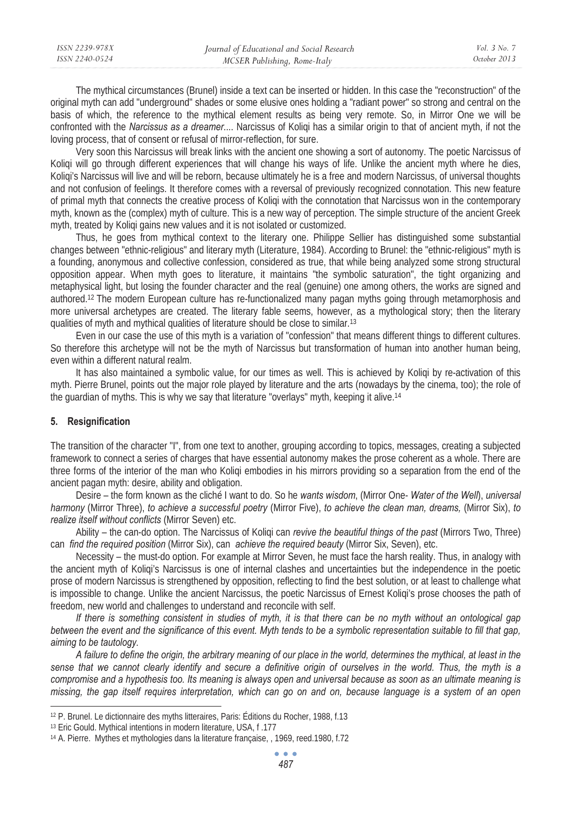| ISSN 2239-978X | Journal of Educational and Social Research | Vol. 3 No. 7 |
|----------------|--------------------------------------------|--------------|
| ISSN 2240-0524 | MCSER Publishing, Rome-Italy               | October 2013 |
|                |                                            |              |

The mythical circumstances (Brunel) inside a text can be inserted or hidden. In this case the "reconstruction" of the original myth can add "underground" shades or some elusive ones holding a "radiant power" so strong and central on the basis of which, the reference to the mythical element results as being very remote. So, in Mirror One we will be confronted with the *Narcissus as a dreamer*.... Narcissus of Koliqi has a similar origin to that of ancient myth, if not the loving process, that of consent or refusal of mirror-reflection, for sure.

Very soon this Narcissus will break links with the ancient one showing a sort of autonomy. The poetic Narcissus of Koliqi will go through different experiences that will change his ways of life. Unlike the ancient myth where he dies, Koliqi's Narcissus will live and will be reborn, because ultimately he is a free and modern Narcissus, of universal thoughts and not confusion of feelings. It therefore comes with a reversal of previously recognized connotation. This new feature of primal myth that connects the creative process of Koliqi with the connotation that Narcissus won in the contemporary myth, known as the (complex) myth of culture. This is a new way of perception. The simple structure of the ancient Greek myth, treated by Koliqi gains new values and it is not isolated or customized.

Thus, he goes from mythical context to the literary one. Philippe Sellier has distinguished some substantial changes between "ethnic-religious" and literary myth (Literature, 1984). According to Brunel: the "ethnic-religious" myth is a founding, anonymous and collective confession, considered as true, that while being analyzed some strong structural opposition appear. When myth goes to literature, it maintains "the symbolic saturation", the tight organizing and metaphysical light, but losing the founder character and the real (genuine) one among others, the works are signed and authored.12 The modern European culture has re-functionalized many pagan myths going through metamorphosis and more universal archetypes are created. The literary fable seems, however, as a mythological story; then the literary qualities of myth and mythical qualities of literature should be close to similar.13

Even in our case the use of this myth is a variation of "confession" that means different things to different cultures. So therefore this archetype will not be the myth of Narcissus but transformation of human into another human being, even within a different natural realm.

It has also maintained a symbolic value, for our times as well. This is achieved by Koliqi by re-activation of this myth. Pierre Brunel, points out the major role played by literature and the arts (nowadays by the cinema, too); the role of the guardian of myths. This is why we say that literature "overlays" myth, keeping it alive.<sup>14</sup>

#### **5. Resignification**

The transition of the character "I", from one text to another, grouping according to topics, messages, creating a subjected framework to connect a series of charges that have essential autonomy makes the prose coherent as a whole. There are three forms of the interior of the man who Koliqi embodies in his mirrors providing so a separation from the end of the ancient pagan myth: desire, ability and obligation.

Desire – the form known as the cliché I want to do. So he *wants wisdom*, (Mirror One- *Water of the Well*), *universal harmony* (Mirror Three), *to achieve a successful poetry* (Mirror Five), *to achieve the clean man, dreams,* (Mirror Six), *to realize itself without conflicts* (Mirror Seven) etc.

Ability – the can-do option. The Narcissus of Koliqi can *revive the beautiful things of the past* (Mirrors Two, Three) can *find the required position* (Mirror Six), can *achieve the required beauty* (Mirror Six, Seven), etc.

Necessity – the must-do option. For example at Mirror Seven, he must face the harsh reality. Thus, in analogy with the ancient myth of Koliqi's Narcissus is one of internal clashes and uncertainties but the independence in the poetic prose of modern Narcissus is strengthened by opposition, reflecting to find the best solution, or at least to challenge what is impossible to change. Unlike the ancient Narcissus, the poetic Narcissus of Ernest Koliqi's prose chooses the path of freedom, new world and challenges to understand and reconcile with self.

*If there is something consistent in studies of myth, it is that there can be no myth without an ontological gap between the event and the significance of this event. Myth tends to be a symbolic representation suitable to fill that gap, aiming to be tautology.* 

*A failure to define the origin, the arbitrary meaning of our place in the world, determines the mythical, at least in the sense that we cannot clearly identify and secure a definitive origin of ourselves in the world. Thus, the myth is a compromise and a hypothesis too. Its meaning is always open and universal because as soon as an ultimate meaning is missing, the gap itself requires interpretation, which can go on and on, because language is a system of an open* 

<sup>12</sup> P. Brunel. Le dictionnaire des myths litteraires, Paris: Éditions du Rocher, 1988, f.13

<sup>13</sup> Eric Gould. Mythical intentions in modern literature, USA, f .177

<sup>14</sup> A. Pierre. Mythes et mythologies dans la literature française, , 1969, reed.1980, f.72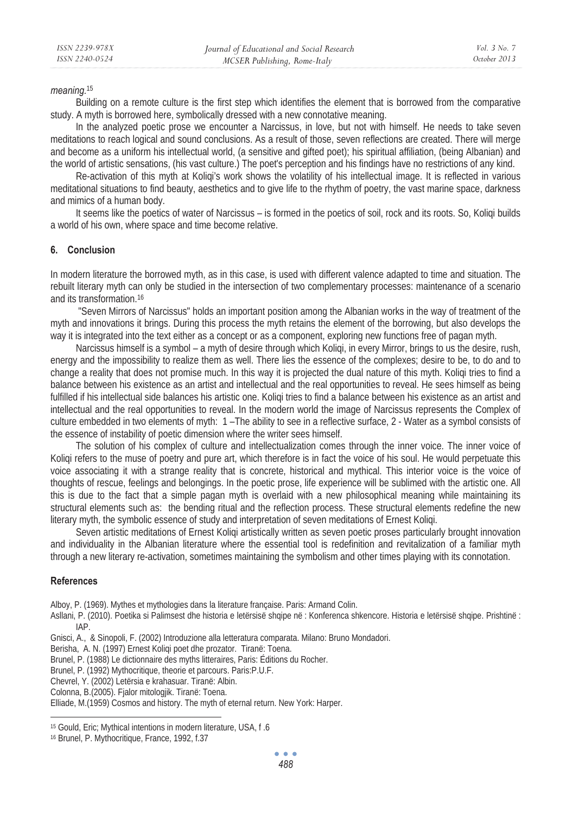## *meaning.*<sup>15</sup>

Building on a remote culture is the first step which identifies the element that is borrowed from the comparative study. A myth is borrowed here, symbolically dressed with a new connotative meaning.

In the analyzed poetic prose we encounter a Narcissus, in love, but not with himself. He needs to take seven meditations to reach logical and sound conclusions. As a result of those, seven reflections are created. There will merge and become as a uniform his intellectual world, (a sensitive and gifted poet); his spiritual affiliation, (being Albanian) and the world of artistic sensations, (his vast culture.) The poet's perception and his findings have no restrictions of any kind.

Re-activation of this myth at Koliqi's work shows the volatility of his intellectual image. It is reflected in various meditational situations to find beauty, aesthetics and to give life to the rhythm of poetry, the vast marine space, darkness and mimics of a human body.

It seems like the poetics of water of Narcissus – is formed in the poetics of soil, rock and its roots. So, Koliqi builds a world of his own, where space and time become relative.

#### **6. Conclusion**

In modern literature the borrowed myth, as in this case, is used with different valence adapted to time and situation. The rebuilt literary myth can only be studied in the intersection of two complementary processes: maintenance of a scenario and its transformation.<sup>16</sup>

 "Seven Mirrors of Narcissus" holds an important position among the Albanian works in the way of treatment of the myth and innovations it brings. During this process the myth retains the element of the borrowing, but also develops the way it is integrated into the text either as a concept or as a component, exploring new functions free of pagan myth.

Narcissus himself is a symbol – a myth of desire through which Koliqi, in every Mirror, brings to us the desire, rush, energy and the impossibility to realize them as well. There lies the essence of the complexes; desire to be, to do and to change a reality that does not promise much. In this way it is projected the dual nature of this myth. Koliqi tries to find a balance between his existence as an artist and intellectual and the real opportunities to reveal. He sees himself as being fulfilled if his intellectual side balances his artistic one. Koliqi tries to find a balance between his existence as an artist and intellectual and the real opportunities to reveal. In the modern world the image of Narcissus represents the Complex of culture embedded in two elements of myth: 1 –The ability to see in a reflective surface, 2 - Water as a symbol consists of the essence of instability of poetic dimension where the writer sees himself.

The solution of his complex of culture and intellectualization comes through the inner voice. The inner voice of Koliqi refers to the muse of poetry and pure art, which therefore is in fact the voice of his soul. He would perpetuate this voice associating it with a strange reality that is concrete, historical and mythical. This interior voice is the voice of thoughts of rescue, feelings and belongings. In the poetic prose, life experience will be sublimed with the artistic one. All this is due to the fact that a simple pagan myth is overlaid with a new philosophical meaning while maintaining its structural elements such as: the bending ritual and the reflection process. These structural elements redefine the new literary myth, the symbolic essence of study and interpretation of seven meditations of Ernest Koliqi.

Seven artistic meditations of Ernest Koliqi artistically written as seven poetic proses particularly brought innovation and individuality in the Albanian literature where the essential tool is redefinition and revitalization of a familiar myth through a new literary re-activation, sometimes maintaining the symbolism and other times playing with its connotation.

#### **References**

Alboy, P. (1969). Mythes et mythologies dans la literature française. Paris: Armand Colin.

Asllani, P. (2010). Poetika si Palimsest dhe historia e letërsisë shqipe në : Konferenca shkencore. Historia e letërsisë shqipe. Prishtinë : IAP.

Gnisci, A., & Sinopoli, F. (2002) Introduzione alla letteratura comparata. Milano: Bruno Mondadori.

Berisha, A. N. (1997) Ernest Koliqi poet dhe prozator. Tiranë: Toena.

Brunel, P. (1988) Le dictionnaire des myths litteraires, Paris: Éditions du Rocher.

Brunel, P. (1992) Mythocritique, theorie et parcours. Paris:P.U.F.

Chevrel, Y. (2002) Letërsia e krahasuar. Tiranë: Albin.

Colonna, B.(2005). Fjalor mitologjik. Tiranë: Toena.

Elliade, M.(1959) Cosmos and history. The myth of eternal return. New York: Harper.

<sup>15</sup> Gould, Eric; Mythical intentions in modern literature, USA, f .6

<sup>16</sup> Brunel, P. Mythocritique, France, 1992, f.37